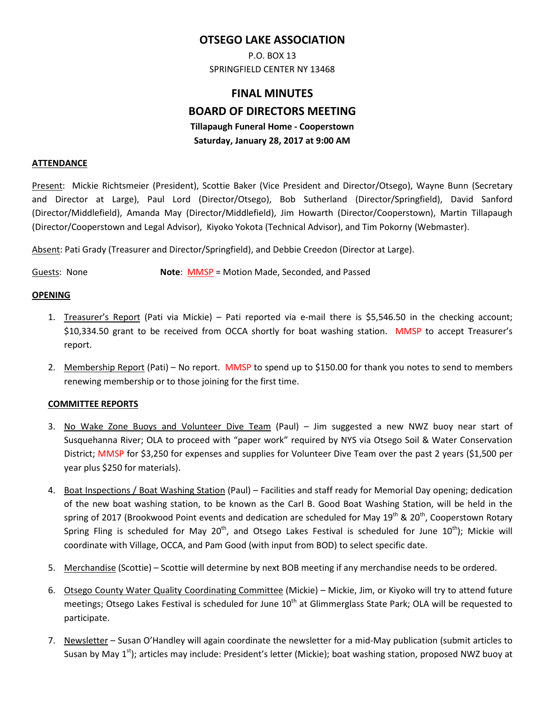# **OTSEGO LAKE ASSOCIATION**

P.O. BOX 13 SPRINGFIELD CENTER NY 13468

# **FINAL MINUTES BOARD OF DIRECTORS MEETING Tillapaugh Funeral Home - Cooperstown Saturday, January 28, 2017 at 9:00 AM**

#### **ATTENDANCE**

Present: Mickie Richtsmeier (President), Scottie Baker (Vice President and Director/Otsego), Wayne Bunn (Secretary and Director at Large), Paul Lord (Director/Otsego), Bob Sutherland (Director/Springfield), David Sanford (Director/Middlefield), Amanda May (Director/Middlefield), Jim Howarth (Director/Cooperstown), Martin Tillapaugh (Director/Cooperstown and Legal Advisor), Kiyoko Yokota (Technical Advisor), and Tim Pokorny (Webmaster).

Absent: Pati Grady (Treasurer and Director/Springfield), and Debbie Creedon (Director at Large).

Guests: None **Note**: MMSP = Motion Made, Seconded, and Passed

#### **OPENING**

- 1. Treasurer's Report (Pati via Mickie) Pati reported via e-mail there is \$5,546.50 in the checking account; \$10,334.50 grant to be received from OCCA shortly for boat washing station. MMSP to accept Treasurer's report.
- 2. Membership Report (Pati) No report. MMSP to spend up to \$150.00 for thank you notes to send to members renewing membership or to those joining for the first time.

#### **COMMITTEE REPORTS**

- 3. No Wake Zone Buoys and Volunteer Dive Team (Paul) Jim suggested a new NWZ buoy near start of Susquehanna River; OLA to proceed with "paper work" required by NYS via Otsego Soil & Water Conservation District; MMSP for \$3,250 for expenses and supplies for Volunteer Dive Team over the past 2 years (\$1,500 per year plus \$250 for materials).
- 4. Boat Inspections / Boat Washing Station (Paul) Facilities and staff ready for Memorial Day opening; dedication of the new boat washing station, to be known as the Carl B. Good Boat Washing Station, will be held in the spring of 2017 (Brookwood Point events and dedication are scheduled for May 19<sup>th</sup> & 20<sup>th</sup>, Cooperstown Rotary Spring Fling is scheduled for May 20<sup>th</sup>, and Otsego Lakes Festival is scheduled for June  $10^{th}$ ); Mickie will coordinate with Village, OCCA, and Pam Good (with input from BOD) to select specific date.
- 5. Merchandise (Scottie) Scottie will determine by next BOB meeting if any merchandise needs to be ordered.
- 6. Otsego County Water Quality Coordinating Committee (Mickie) Mickie, Jim, or Kiyoko will try to attend future meetings; Otsego Lakes Festival is scheduled for June  $10^{th}$  at Glimmerglass State Park; OLA will be requested to participate.
- 7. Newsletter Susan O'Handley will again coordinate the newsletter for a mid-May publication (submit articles to Susan by May 1<sup>st</sup>); articles may include: President's letter (Mickie); boat washing station, proposed NWZ buoy at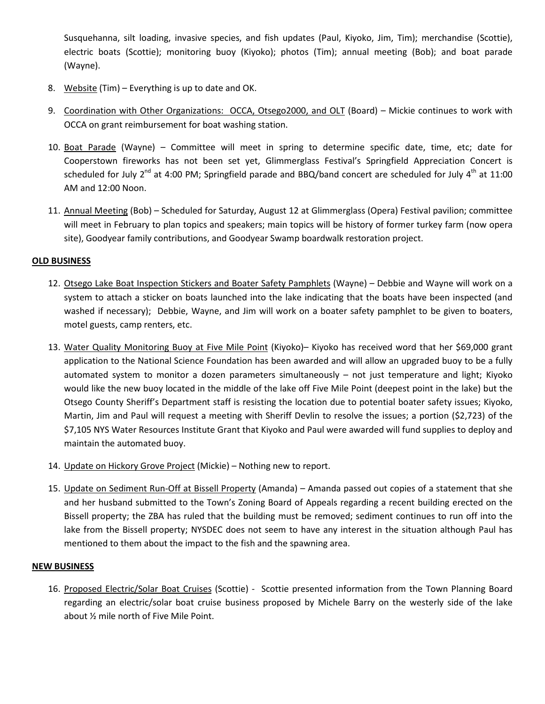Susquehanna, silt loading, invasive species, and fish updates (Paul, Kiyoko, Jim, Tim); merchandise (Scottie), electric boats (Scottie); monitoring buoy (Kiyoko); photos (Tim); annual meeting (Bob); and boat parade (Wayne).

- 8. Website (Tim) Everything is up to date and OK.
- 9. Coordination with Other Organizations: OCCA, Otsego2000, and OLT (Board) Mickie continues to work with OCCA on grant reimbursement for boat washing station.
- 10. Boat Parade (Wayne) Committee will meet in spring to determine specific date, time, etc; date for Cooperstown fireworks has not been set yet, Glimmerglass Festival's Springfield Appreciation Concert is scheduled for July  $2^{nd}$  at 4:00 PM; Springfield parade and BBQ/band concert are scheduled for July  $4^{th}$  at 11:00 AM and 12:00 Noon.
- 11. Annual Meeting (Bob) Scheduled for Saturday, August 12 at Glimmerglass (Opera) Festival pavilion; committee will meet in February to plan topics and speakers; main topics will be history of former turkey farm (now opera site), Goodyear family contributions, and Goodyear Swamp boardwalk restoration project.

## **OLD BUSINESS**

- 12. Otsego Lake Boat Inspection Stickers and Boater Safety Pamphlets (Wayne) Debbie and Wayne will work on a system to attach a sticker on boats launched into the lake indicating that the boats have been inspected (and washed if necessary); Debbie, Wayne, and Jim will work on a boater safety pamphlet to be given to boaters, motel guests, camp renters, etc.
- 13. Water Quality Monitoring Buoy at Five Mile Point (Kiyoko)– Kiyoko has received word that her \$69,000 grant application to the National Science Foundation has been awarded and will allow an upgraded buoy to be a fully automated system to monitor a dozen parameters simultaneously – not just temperature and light; Kiyoko would like the new buoy located in the middle of the lake off Five Mile Point (deepest point in the lake) but the Otsego County Sheriff's Department staff is resisting the location due to potential boater safety issues; Kiyoko, Martin, Jim and Paul will request a meeting with Sheriff Devlin to resolve the issues; a portion (\$2,723) of the \$7,105 NYS Water Resources Institute Grant that Kiyoko and Paul were awarded will fund supplies to deploy and maintain the automated buoy.
- 14. Update on Hickory Grove Project (Mickie) Nothing new to report.
- 15. Update on Sediment Run-Off at Bissell Property (Amanda) Amanda passed out copies of a statement that she and her husband submitted to the Town's Zoning Board of Appeals regarding a recent building erected on the Bissell property; the ZBA has ruled that the building must be removed; sediment continues to run off into the lake from the Bissell property; NYSDEC does not seem to have any interest in the situation although Paul has mentioned to them about the impact to the fish and the spawning area.

### **NEW BUSINESS**

16. Proposed Electric/Solar Boat Cruises (Scottie) - Scottie presented information from the Town Planning Board regarding an electric/solar boat cruise business proposed by Michele Barry on the westerly side of the lake about ½ mile north of Five Mile Point.